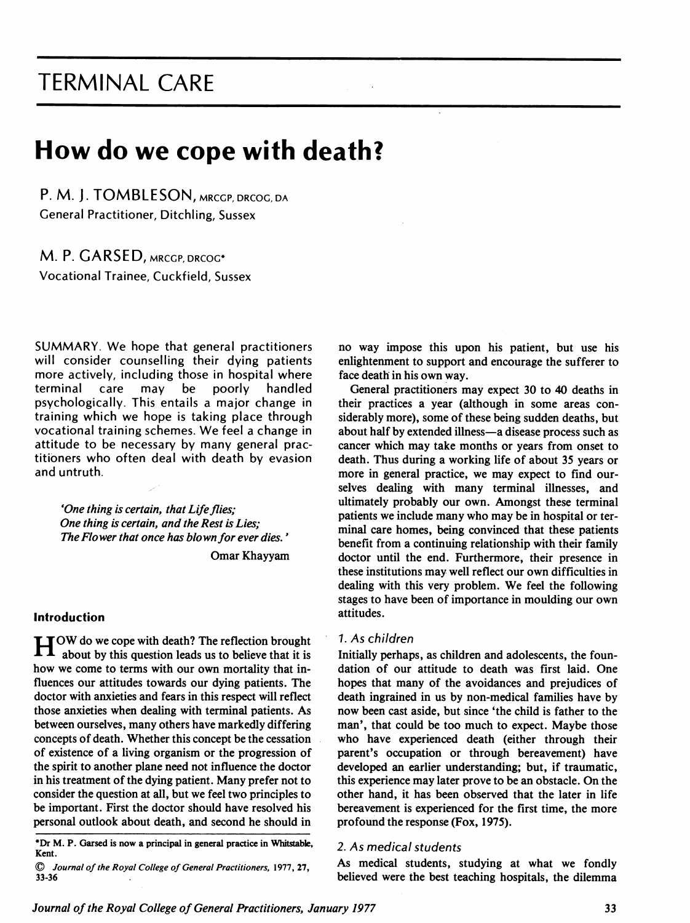## TERMINAL CARE

# How do we cope with death?

P. M. J. TOMBLESON, MRCGP, DRCOG, DA General Practitioner, Ditchling, Sussex

M. P. GARSED, MRCGP, DRCOG\* Vocational Trainee, Cuckfield, Sussex

SUMMARY. We hope that general practitioners will consider counselling their dying patients more actively, including those in hospital where<br>terminal care may be poorly handled terminal care may be poorly handled psychologically. This entails a major change in training which we hope is taking place through vocational training schemes. We feel <sup>a</sup> change in attitude to be necessary by many general practitioners who often deal with death by evasion and untruth.

'One thing is certain, that Life flies; One thing is certain, and the Rest is Lies; The Flower that once has blown for ever dies.'

Omar Khayyam

#### Introduction

**HOW** do we cope with death? The reflection brought about by this question leads us to believe that it is how we come to terms with our own mortality that influences our attitudes towards our dying patients. The doctor with anxieties and fears in this respect will reflect those anxieties when dealing with terminal patients. As between ourselves, many others have markedly differing concepts of death. Whether this concept be the cessation of existence of a living organism or the progression of the spirit to another plane need not influence the doctor in his treatment of the dying patient. Many prefer not to consider the question at all, but we feel two principles to be important. First the doctor should have resolved his personal outlook about death, and second he should in

\*Dr M. P. Garsed is now a principal in general practice in Whitstable, Kent.

no way impose this upon his patient, but use his enlightenment to support and encourage the sufferer to face death in his own way.

General praetitioners may expect 30 to 40 deaths in their practices a year (although in some areas considerably more), some of these being sudden deaths, but about half by extended illness-a disease process such as cancer which may take months or years from onset to death. Thus during a working life of about 35 years or more in general practice, we may expect to find ourselves dealing with many terminal illnesses, and ultimately probably our own. Amongst these terminal patients we include many who may be in hospital or terminal care homes, being convinced that these patients benefit from a continuing relationship with their family doctor until the end. Furthermore, their presence in these institutions may well reflect our own difficulties in dealing with this very problem. We feel the following stages to have been of importance in moulding our own attitudes.

#### 7. As children

Initially perhaps, as children and adolescents, the foundation of our attitude to death was first laid. One hopes that many of the avoidances and prejudices of death ingrained in us by non-medical families have by now been east aside, but since 'the child is father to the man', that could be too much to expect. Maybe those who have experienced death (either through their parent's occupation or through bereavement) have developed an earlier understanding; but, if traumatic, this experience may later prove to be an obstacle. On the other hand, it has been observed that the later in life bereavement is experienced for the first time, the more profound the response (Fox, 1975).

#### 2. As medical students

As medical students, studying at what we fondly believed were the best teaching hospitals, the dilemma

<sup>©</sup> Journal of the Royal College of General Praetitioners, 1977, 27, 33-36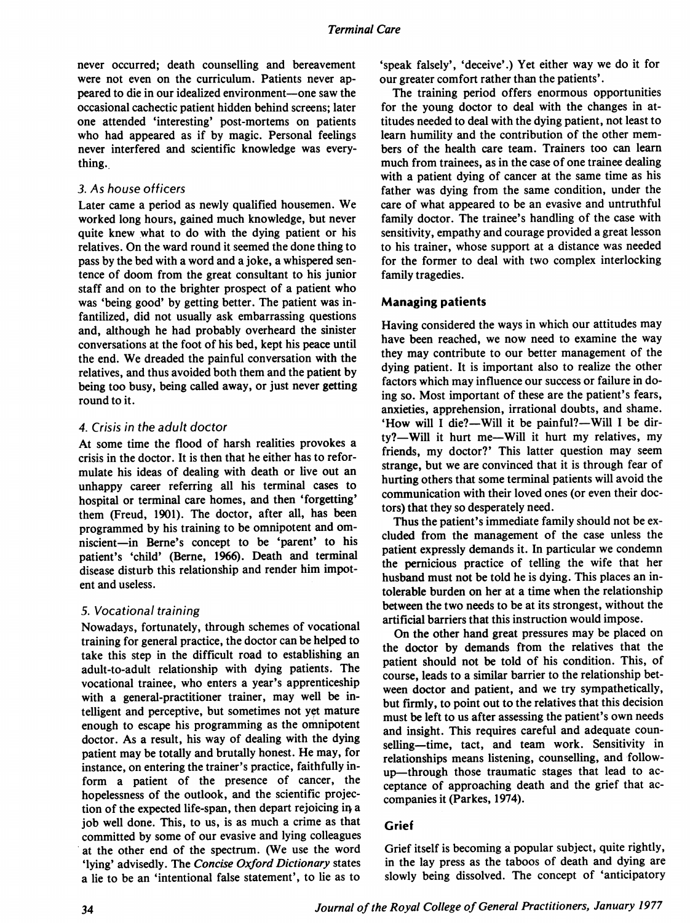never occurred; death counselling and bereavement were not even on the curriculum. Patients never appeared to die in our idealized environment—one saw the occasional cachectic patient hidden behind screens; later one attended 'interesting' post-mortems on patients who had appeared as if by magic. Personal feelings never interfered and scientific knowledge was everything.

#### 3. As house officers

Later came <sup>a</sup> period as newly qualified housemen. We worked long hours, gained much knowledge, but never quite knew what to do with the dying patient or his relatives. On the ward round it seemed the done thing to pass by the bed with a word and a joke, a whispered sentence of doom from the great consultant to his junior staff and on to the brighter prospect of <sup>a</sup> patient who was 'being good' by getting better. The patient was infantilized, did not usually ask embarrassing questions and, although he had probably overheard the sinister conversations at the foot of his bed, kept his peace until the end. We dreaded the painful conversation with the relatives, and thus avoided both them and the patient by being too busy, being called away, or just never getting round to it.

#### 4. Crisis in the adult doctor

At some time the flood of harsh realities provokes a crisis in the doctor. It is then that he either has to reformulate his ideas of dealing with death or live out an unhappy career referring all his terminal cases to hospital or terminal care homes, and then 'forgetting' them (Freud, 1901). The doctor, after all, has been programmed by his training to be omnipotent and omniscient-in Berne's concept to be 'parent' to his patient's 'child' (Berne, 1966). Death and terminal disease disturb this relationship and render him impotent and useless.

#### 5. Vocational training

Nowadays, fortunately, through schemes of vocational training for general practice, the doctor can be helped to take this step in the difficult road to establishing an adult-to-adult relationship with dying patients. The vocational trainee, who enters a year's apprenticeship with a general-practitioner trainer, may well be intelligent and perceptive, but sometimes not yet mature enough to escape his programming as the omnipotent doctor. As a result, his way of dealing with the dying patient may be totally and brutally honest. He may, for instance, on entering the trainer's practice, faithfully inform a patient of the presence of cancer, the hopelessness of the outlook, and the scientific projection of the expected life-span, then depart rejoicing in a job well done. This, to us, is as much <sup>a</sup> crime as that committed by some of our evasive and lying colleagues at the other end of the spectrum. (We use the word 'lying' advisedly. The Concise Oxford Dictionary states a lie to be an 'intentional false statement', to lie as to

'speak falsely', 'deceive'.) Yet either way we do it for our greater comfort rather than the patients'.

The training period offers enormous opportunities for the young doctor to deal with the changes in attitudes needed to deal with the dying patient, not least to learn humility and the contribution of the other mem bers of the health care team. Trainers too can learn much from trainees, as in the case of one trainee dealing with a patient dying of cancer at the same time as his father was dying from the same condition, under the care of what appeared to be an evasive and untruthful family doctor. The trainee's handling of the case with sensitivity, empathy and courage provided a great lesson to his trainer, whose support at a distance was needed for the former to deal with two complex interlocking family tragedies.

#### Managing patients

Having considered the ways in which our attitudes may have been reached, we now need to examine the way they may contribute to our better management of the dying patient. It is important also to realize the other factors which may influence our success or failure in doing so. Most important of these are the patient's fears, anxieties, apprehension, irrational doubts, and shame. 'How will I die?—Will it be painful?—Will I be dirty?-Will it hurt me-Will it hurt my relatives, my friends, my doctor?' This latter question may seem strange, but we are convinced that it is through fear of hurting others that some terminal patients will avoid the communication with their loved ones (or even their doc tors) that they so desperately need.

Thus the patient's immediate family should not be ex cluded from the management of the case unless the patient expressly demands it. In particular we condemn the pernicious practice of telling the wife that her husband must not be told he is dying. This places an intolerable burden on her at a time when the relationship between the two needs to be at its strongest, without the artificial barriers that this instruction would impose.

On the other hand great pressures may be placed on the doctor by demands from the relatives that the patient should not be told of his condition. This, of course, leads to a similar barrier to the relationship between doctor and patient, and we try sympathetically, but firmly, to point out to the relatives that this decision must be left to us after assessing the patient's own needs and insight. This requires careful and adequate counselling—time, tact, and team work. Sensitivity in relationships means listening, counselling, and followup-through those traumatic stages that lead to acceptance of approaching death and the grief that accompanies it (Parkes, 1974).

#### Grief

Grief itself is becoming a popular subject, quite rightly, in the lay press as the taboos of death and dying are slowly being dissolved. The concept of 'anticipatory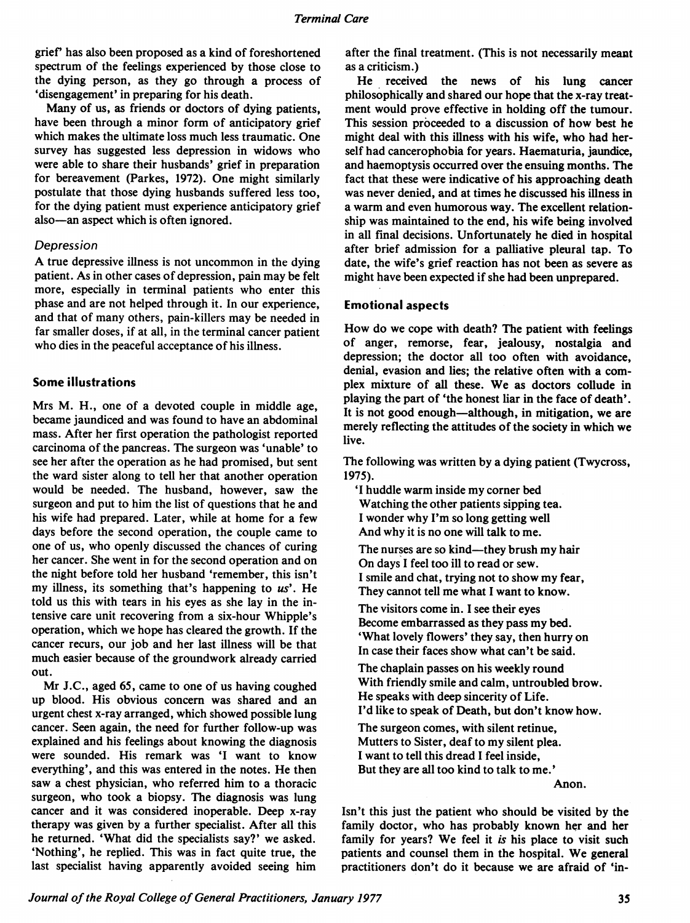grief' has also been proposed as a kind of foreshortened spectrum of the feelings experienced by those close to the dying person, as they go through a process of 'disengagement' in preparing for his death.

Many of us, as friends or doctors of dying patients, have been through a minor form of anticipatory grief which makes the ultimate loss much less traumatic. One survey has suggested less depression in widows who were able to share their husbands' grief in preparation for bereavement (Parkes, 1972). One might similarly postulate that those dying husbands suffered less too, for the dying patient must experience anticipatory grief also-an aspect which is often ignored.

#### Depression

A true depressive illness is not uncommon in the dying patient. As in other cases of depression, pain may be felt more, especially in terminal patients who enter this phase and are not helped through it. In our experience, and that of many others, pain-killers may be needed in far smaller doses, if at all, in the terminal cancer patient who dies in the peaceful acceptance of his illness.

#### Some illustrations

Mrs M. H., one of <sup>a</sup> devoted couple in middle age, became jaundiced and was found to have an abdominal mass. After her first operation the pathologist reported carcinoma of the pancreas. The surgeon was 'unable' to see her after the operation as he had promised, but sent the ward sister along to tell her that another operation would be needed. The husband, however, saw the surgeon and put to him the list of questions that he and his wife had prepared. Later, while at home for a few days before the second operation, the couple came to one of us, who openly discussed the chances of curing her cancer. She went in for the second operation and on the night before told her husband 'remember, this isn't my illness, its something that's happening to  $us'$ . He told us this with tears in his eyes as she lay in the intensive care unit recovering from a six-hour Whipple's operation, which we hope has cleared the growth. If the cancer recurs, our job and her last illness will be that much easier because of the groundwork already carried out.

Mr J.C., aged 65, came to one of us having coughed up blood. His obvious concern was shared and an urgent chest x-ray arranged, which showed possible lung cancer. Seen again, the need for further follow-up was explained and his feelings about knowing the diagnosis were sounded. His remark was 'I want to know everything', and this was entered in the notes. He then saw a chest physician, who referred him to a thoracic surgeon, who took <sup>a</sup> biopsy. The diagnosis was lung cancer and it was considered inoperable. Deep x-ray therapy was given by a further specialist. After all this he returned. 'What did the specialists say?' we asked. 'Nothing', he replied. This was in fact quite true, the last specialist having apparently avoided seeing him

after the final treatment. (This is not necessarily meant as a criticism.)

He received the news of his lung cancer philosophically and shared our hope that the x-ray treatment would prove effective in holding off the tumour. This session proceeded to a discussion of how best he might deal with this illness with his wife, who had herself had cancerophobia for years. Haematuria, jaundice, and haemoptysis occurred over the ensuing months. The fact that these were indicative of his approaching death was never denied, and at times he discussed his illness in a warm and even humorous way. The excellent relationship was maintained to the end, his wife being involved in all final decisions. Unfortunately he died in hospital after brief admission for a palliative pleural tap. To date, the wife's grief reaction has not been as severe as might have been expected if she had been unprepared.

#### Emotional aspects

How do we cope with death? The patient with feelings of anger, remorse, fear, jealousy, nostalgia and depression; the doctor all too often with avoidance, denial, evasion and lies; the relative often with a complex mixture of all these. We as doctors collude in playing the part of 'the honest liar in the face of death'. It is not good enough—although, in mitigation, we are merely reflecting the attitudes of the society in which we live.

The following was written by a dying patient (Twycross, 1975).

'I huddle warm inside my corner bed Watching the other patients sipping tea. <sup>I</sup> wonder why I'm so long getting well And why it is no one will talk to me.

The nurses are so kind—they brush my hair On days <sup>I</sup> feel too ill to read or sew. <sup>I</sup> smile and chat, trying not to show my fear, They cannot tell me what <sup>I</sup> want to know.

The visitors come in. <sup>I</sup> see their eyes Become embarrassed as they pass my bed. 'What lovely flowers' they say, then hurry on In case their faces show what can't be said.

The chaplain passes on his weekly round With friendly smile and calm, untroubled brow. He speaks with deep sincerity of Life. <sup>I</sup>'d like to speak of Death, but don't know how.

The surgeon comes, with silent retinue, Mutters to Sister, deaf to my silent plea. <sup>I</sup> want to tell this dread <sup>I</sup> feel inside, But they are all too kind to talk to me.'

Anon.

Isn't this just the patient who should be visited by the family doctor, who has probably known her and her family for years? We feel it is his place to visit such patients and counsel them in the hospital. We general practitioners don't do it because we are afraid of 'in-